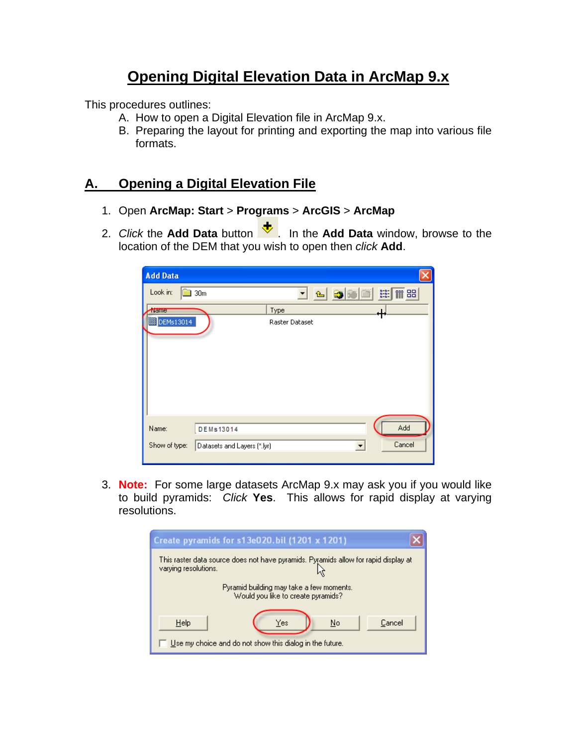# **Opening Digital Elevation Data in ArcMap 9.x**

This procedures outlines:

- A. How to open a Digital Elevation file in ArcMap 9.x.
- B. Preparing the layout for printing and exporting the map into various file formats.

### **A. Opening a Digital Elevation File**

- 1. Open **ArcMap: Start** > **Programs** > **ArcGIS** > **ArcMap**
- 2. *Click* the Add Data button  $\overline{\mathbf{t}}$ . In the Add Data window, browse to the location of the DEM that you wish to open then *click* **Add**.

| <b>Add Data</b> |                                                                                                             |  |
|-----------------|-------------------------------------------------------------------------------------------------------------|--|
| Look in:        | <b>BB</b><br>$\begin{bmatrix} a & a \\ b & b \\ c & d \end{bmatrix}$<br><u>기 연</u><br>而品<br>30 <sub>m</sub> |  |
| <b>Name</b>     | Type                                                                                                        |  |
| DEMs13014       | Raster Dataset                                                                                              |  |
|                 |                                                                                                             |  |
| Name:           | Add<br>DEMs13014                                                                                            |  |
| Show of type:   | Cancel<br>Datasets and Layers (*.lyr)<br>$\vert \cdot \vert$                                                |  |

3. **Note:** For some large datasets ArcMap 9.x may ask you if you would like to build pyramids: *Click* **Yes**. This allows for rapid display at varying resolutions.

| Create pyramids for s13e020.bil (1201 x 1201)                                                               |  |  |  |  |  |
|-------------------------------------------------------------------------------------------------------------|--|--|--|--|--|
| This raster data source does not have pyramids. Pyramids allow for rapid display at<br>varying resolutions. |  |  |  |  |  |
| Pyramid building may take a few moments.<br>Would you like to create pyramids?                              |  |  |  |  |  |
| Help<br>Yes<br>No<br>Cancel<br>Use my choice and do not show this dialog in the future.                     |  |  |  |  |  |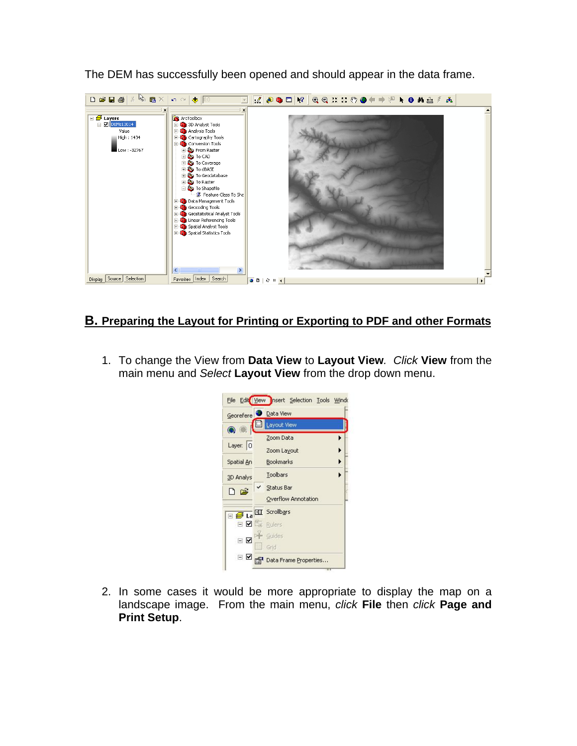

The DEM has successfully been opened and should appear in the data frame.

#### **B. Preparing the Layout for Printing or Exporting to PDF and other Formats**

1. To change the View from **Data View** to **Layout View***. Click* **View** from the main menu and *Select* **Layout View** from the drop down menu.



2. In some cases it would be more appropriate to display the map on a landscape image. From the main menu, *click* **File** then *click* **Page and Print Setup**.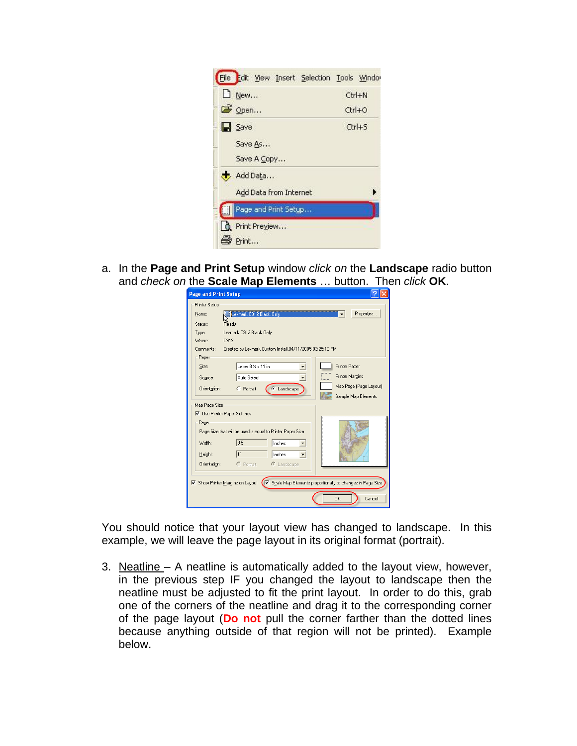| File Edit View Insert Selection Tools Window |  |                      |
|----------------------------------------------|--|----------------------|
| $\Box$ New                                   |  | $C$ <sub>trl+N</sub> |
| Si Open                                      |  | $Ctr1 + O$           |
| $\Box$ Save                                  |  | Ctrl+S               |
| Save As                                      |  |                      |
| Save A Copy                                  |  |                      |
| Add Data                                     |  |                      |
| Add Data from Internet                       |  |                      |
| Page and Print Setup                         |  |                      |
| Print Preview<br>Print                       |  |                      |

a. In the **Page and Print Setup** window *click on* the **Landscape** radio button and *check on* the **Scale Map Elements** … button. Then *click* **OK**.

| Name:                               | Lexmark C912 Black Only                                    | Properties<br>▼        |
|-------------------------------------|------------------------------------------------------------|------------------------|
| Status:                             | Ready                                                      |                        |
| Type:                               | Lexmark C912 Black Only                                    |                        |
| Where:                              | C912                                                       |                        |
| Comments:                           | Created by Lexmark Custom Install,04/11/2005 03:25:10 PM   |                        |
| Paper                               |                                                            |                        |
| Size:                               | Letter 8 % x 11 in                                         | Printer Paper          |
| Source:                             | Auto Select<br>۰                                           | Printer Margins        |
| Orientation:                        | Landscape<br>C Portrait<br>G.                              | Map Page (Page Layout) |
|                                     |                                                            | Sample Map Elements    |
| Map Page Size                       |                                                            |                        |
| <b>V</b> Use Printer Paper Settings |                                                            |                        |
| Page                                |                                                            |                        |
|                                     | Page Size that will be used is equal to Printer Paper Size |                        |
| Width:                              | 8.5<br>Inches                                              |                        |
|                                     |                                                            |                        |
| Height:                             | 11<br>Inches                                               |                        |
| Orientation:                        | $\bigcap$ Portrait<br>C Landscape                          |                        |
|                                     |                                                            |                        |
|                                     |                                                            |                        |

You should notice that your layout view has changed to landscape. In this example, we will leave the page layout in its original format (portrait).

3. Neatline – A neatline is automatically added to the layout view, however, in the previous step IF you changed the layout to landscape then the neatline must be adjusted to fit the print layout. In order to do this, grab one of the corners of the neatline and drag it to the corresponding corner of the page layout (**Do not** pull the corner farther than the dotted lines because anything outside of that region will not be printed). Example below.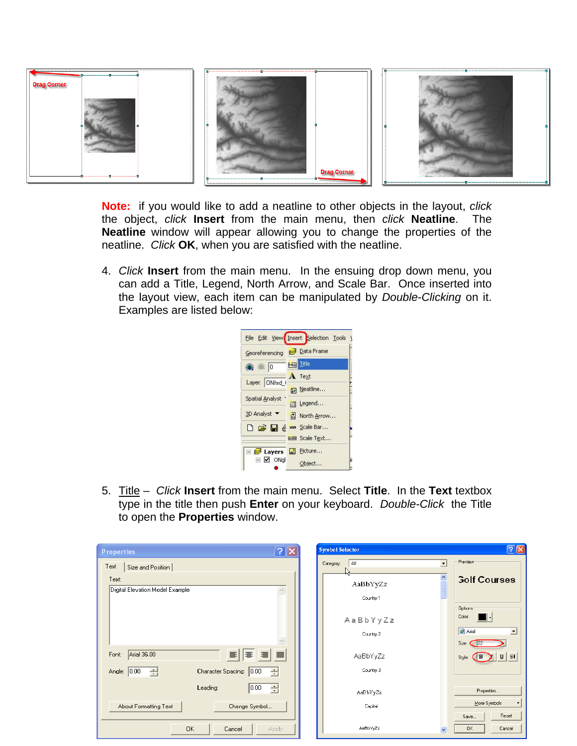

**Note:** if you would like to add a neatline to other objects in the layout, *click* the object, *click* **Insert** from the main menu, then *click* **Neatline**. The **Neatline** window will appear allowing you to change the properties of the neatline. *Click* **OK**, when you are satisfied with the neatline.

4. *Click* **Insert** from the main menu. In the ensuing drop down menu, you can add a Title, Legend, North Arrow, and Scale Bar. Once inserted into the layout view, each item can be manipulated by *Double-Clicking* on it. Examples are listed below:

|                                 | File Edit View Insert Selection Tools |
|---------------------------------|---------------------------------------|
| Georeferencing                  | <b>Data Frame</b>                     |
| <b>A 3 0</b>                    | Final Title                           |
| Layer: ONhrd I                  | A Text                                |
|                                 | n Neatline                            |
| Spatial Analyst                 | 图 Legend                              |
| 3D Analyst ▼                    | <b>は North Arrow</b>                  |
|                                 | D B e e Scale Bar                     |
|                                 | <b>Em</b> Scale Text                  |
| $\boxminus \not\implies$ Layers | Picture                               |
| $\Box$ $\Box$ ONgl              | Object                                |

5. Title – *Click* **Insert** from the main menu. Select **Title**. In the **Text** textbox type in the title then push **Enter** on your keyboard. *Double-Click* the Title to open the **Properties** window.

| ? X<br><b>Properties</b>                          | <b>Symbol Selector</b>                      | ? X                                            |
|---------------------------------------------------|---------------------------------------------|------------------------------------------------|
| Text<br>Size and Position                         | AI<br>$\overline{\phantom{a}}$<br>Category: | Preview                                        |
| Text:<br>Digital Elevation Model Example          | AaBbYyZz                                    | <b>Golf Courses</b>                            |
|                                                   | Country 1                                   |                                                |
|                                                   | AaBbYyZz                                    | Dptions<br>Color:                              |
|                                                   | Country 2                                   | O Arial<br>$\overline{\phantom{a}}$            |
| Arial 36.00<br>$\equiv$<br>目<br>$\equiv$<br>Font: | AaBbYyZz                                    | Size: $22$<br>$\mathbf{u}$   st<br>B<br>Style: |
| Character Spacing: 0.00<br>Angle: 0.00<br>奇<br>클  | Country 3                                   |                                                |
| 0.00 <br>÷<br>Leading:                            | AaBbYyZz                                    | Properties                                     |
| About Formatting Text<br>Change Symbol            | Capital                                     | More Symbols                                   |
|                                                   |                                             | Reset<br>Save                                  |
| <b>OK</b><br>Cancel<br>Apply                      | AaBbYyZz                                    | 0K<br>Cancel                                   |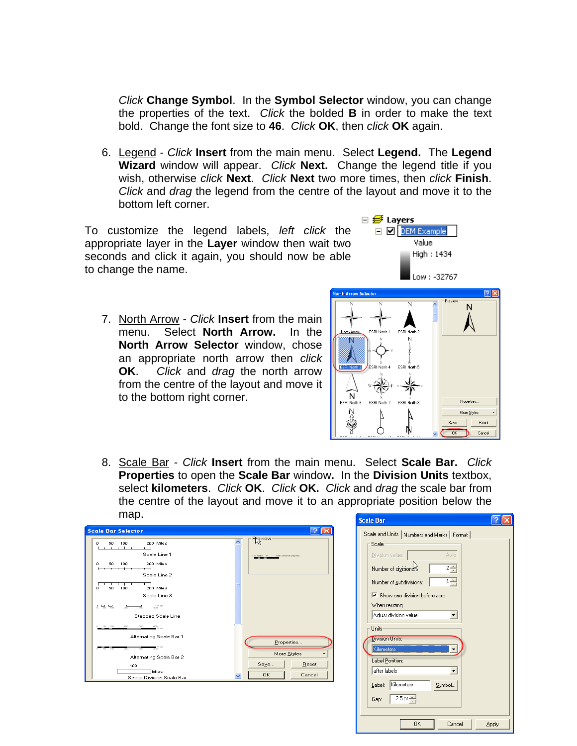*Click* **Change Symbol**. In the **Symbol Selector** window, you can change the properties of the text. *Click* the bolded **B** in order to make the text bold. Change the font size to **46**. *Click* **OK**, then *click* **OK** again.

6. Legend - *Click* **Insert** from the main menu. Select **Legend.** The **Legend Wizard** window will appear. *Click* **Next.** Change the legend title if you wish, otherwise *click* **Next**. *Click* **Next** two more times, then *click* **Finish**. *Click* and *drag* the legend from the centre of the layout and move it to the bottom left corner.

To customize the legend labels, *left click* the appropriate layer in the **Layer** window then wait two seconds and click it again, you should now be able to change the name.

7. North Arrow - *Click* **Insert** from the main menu. Select **North Arrow.** In the **North Arrow Selector** window, chose an appropriate north arrow then *click* **OK**.*Click* and *drag* the north arrow from the centre of the layout and move it to the bottom right corner.



 $\boxminus$   $\mathcal{B}$  Layers

DEM Example Value High: 1434

8. Scale Bar - *Click* **Insert** from the main menu. Select **Scale Bar.** *Click*  **Properties** to open the **Scale Bar** window**.** In the **Division Units** textbox, select **kilometers**. *Click* **OK**. *Click* **OK.** *Click* and *drag* the scale bar from the centre of the layout and move it to an appropriate position below the map.



| Scale and Units   Numbers and Marks   Format             |
|----------------------------------------------------------|
| Scale                                                    |
| Auto<br>Division value:                                  |
| $2 - 1$<br>Number of divisions: S                        |
| $4\frac{1}{1}$<br>Number of subdivisions:                |
| $\overline{\triangledown}$ Show one division before zero |
| When resizing                                            |
| Adjust division value                                    |
| Units                                                    |
| <b>Division Units:</b>                                   |
| Kilometers                                               |
| Label Position:                                          |
| after labels                                             |
| Kilometers<br>Symbol<br>Label:                           |
| $2.5$ pt $\frac{1}{2}$<br>Gap:                           |
|                                                          |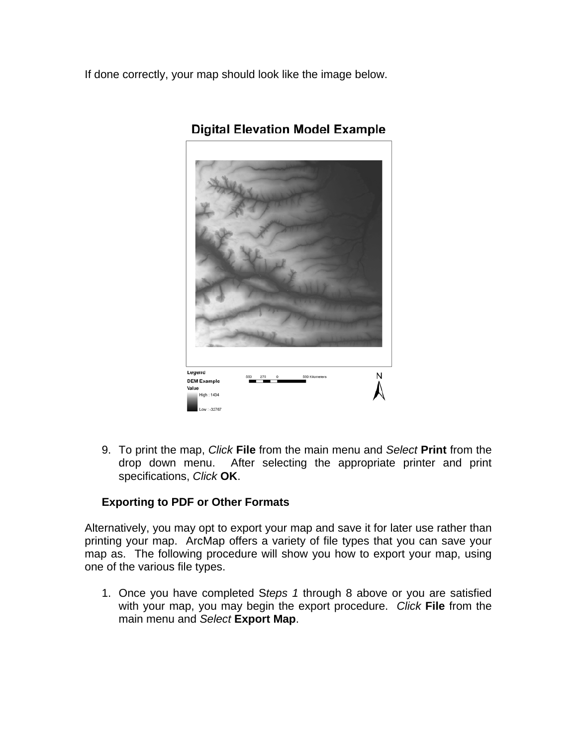If done correctly, your map should look like the image below.



## **Digital Elevation Model Example**

9. To print the map, *Click* **File** from the main menu and *Select* **Print** from the drop down menu. After selecting the appropriate printer and print specifications, *Click* **OK**.

#### **Exporting to PDF or Other Formats**

Alternatively, you may opt to export your map and save it for later use rather than printing your map. ArcMap offers a variety of file types that you can save your map as. The following procedure will show you how to export your map, using one of the various file types.

1. Once you have completed S*teps 1* through 8 above or you are satisfied with your map, you may begin the export procedure. *Click* **File** from the main menu and *Select* **Export Map**.